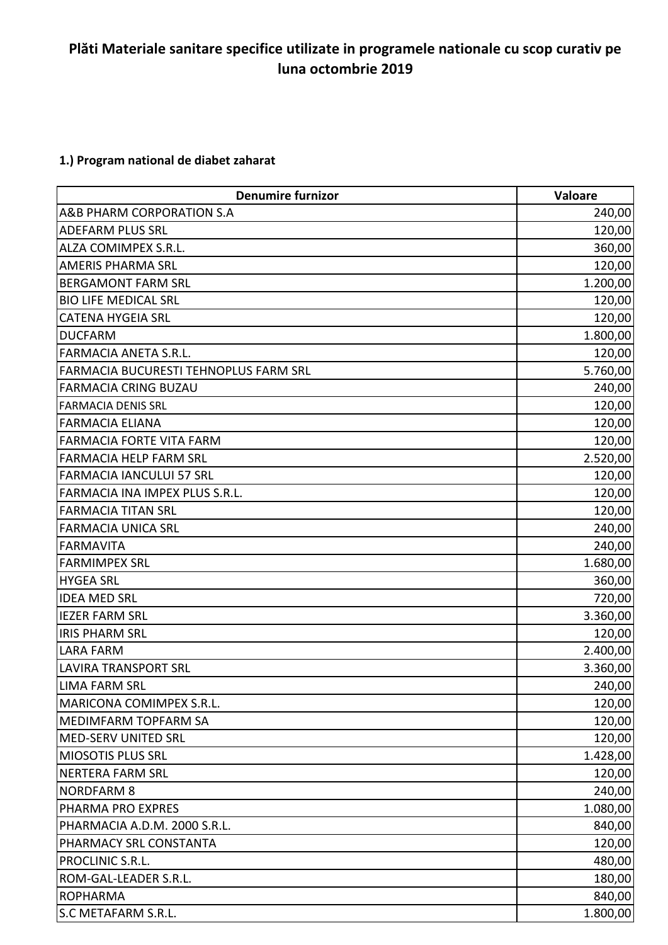## **Plăti Materiale sanitare specifice utilizate in programele nationale cu scop curativ pe luna octombrie 2019**

## **1.) Program national de diabet zaharat**

| <b>Denumire furnizor</b>              | Valoare  |
|---------------------------------------|----------|
| A&B PHARM CORPORATION S.A             | 240,00   |
| <b>ADEFARM PLUS SRL</b>               | 120,00   |
| <b>ALZA COMIMPEX S.R.L.</b>           | 360,00   |
| <b>AMERIS PHARMA SRL</b>              | 120,00   |
| <b>BERGAMONT FARM SRL</b>             | 1.200,00 |
| <b>BIO LIFE MEDICAL SRL</b>           | 120,00   |
| <b>CATENA HYGEIA SRL</b>              | 120,00   |
| <b>DUCFARM</b>                        | 1.800,00 |
| FARMACIA ANETA S.R.L.                 | 120,00   |
| FARMACIA BUCURESTI TEHNOPLUS FARM SRL | 5.760,00 |
| <b>FARMACIA CRING BUZAU</b>           | 240,00   |
| <b>FARMACIA DENIS SRL</b>             | 120,00   |
| <b>FARMACIA ELIANA</b>                | 120,00   |
| <b>FARMACIA FORTE VITA FARM</b>       | 120,00   |
| <b>FARMACIA HELP FARM SRL</b>         | 2.520,00 |
| <b>FARMACIA IANCULUI 57 SRL</b>       | 120,00   |
| FARMACIA INA IMPEX PLUS S.R.L.        | 120,00   |
| <b>FARMACIA TITAN SRL</b>             | 120,00   |
| <b>FARMACIA UNICA SRL</b>             | 240,00   |
| <b>FARMAVITA</b>                      | 240,00   |
| <b>FARMIMPEX SRL</b>                  | 1.680,00 |
| <b>HYGEA SRL</b>                      | 360,00   |
| <b>IDEA MED SRL</b>                   | 720,00   |
| <b>IEZER FARM SRL</b>                 | 3.360,00 |
| <b>IRIS PHARM SRL</b>                 | 120,00   |
| <b>LARA FARM</b>                      | 2.400,00 |
| <b>LAVIRA TRANSPORT SRL</b>           | 3.360,00 |
| <b>LIMA FARM SRL</b>                  | 240,00   |
| <b>MARICONA COMIMPEX S.R.L.</b>       | 120,00   |
| MEDIMFARM TOPFARM SA                  | 120,00   |
| <b>MED-SERV UNITED SRL</b>            | 120,00   |
| <b>MIOSOTIS PLUS SRL</b>              | 1.428,00 |
| <b>NERTERA FARM SRL</b>               | 120,00   |
| <b>NORDFARM 8</b>                     | 240,00   |
| PHARMA PRO EXPRES                     | 1.080,00 |
| PHARMACIA A.D.M. 2000 S.R.L.          | 840,00   |
| <b>PHARMACY SRL CONSTANTA</b>         | 120,00   |
| PROCLINIC S.R.L.                      | 480,00   |
| ROM-GAL-LEADER S.R.L.                 | 180,00   |
| <b>ROPHARMA</b>                       | 840,00   |
| S.C METAFARM S.R.L.                   | 1.800,00 |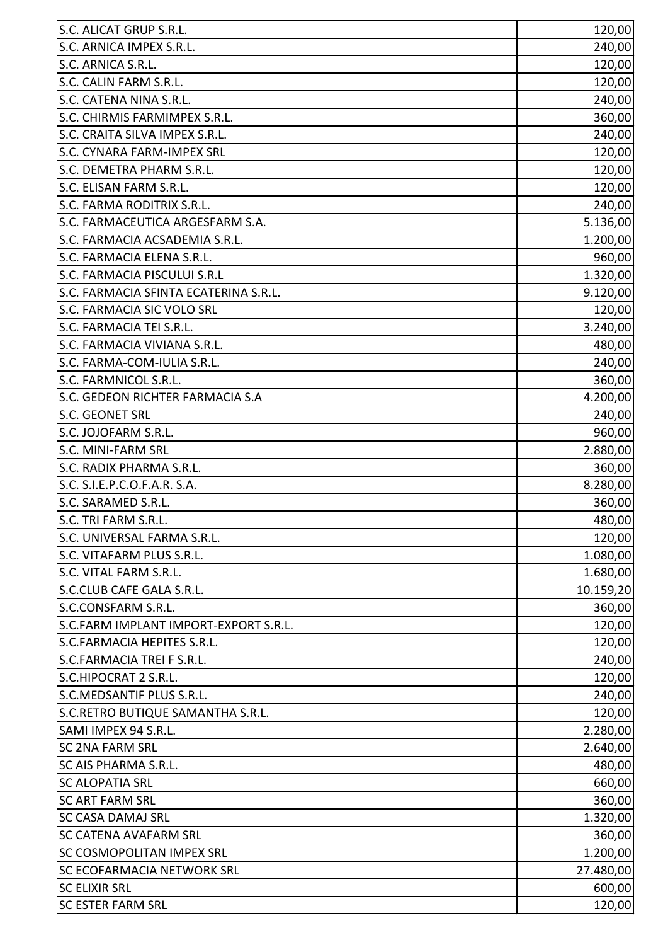| S.C. ALICAT GRUP S.R.L.               | 120,00    |
|---------------------------------------|-----------|
| S.C. ARNICA IMPEX S.R.L.              | 240,00    |
| S.C. ARNICA S.R.L.                    | 120,00    |
| S.C. CALIN FARM S.R.L.                | 120,00    |
| S.C. CATENA NINA S.R.L.               | 240,00    |
| S.C. CHIRMIS FARMIMPEX S.R.L.         | 360,00    |
| S.C. CRAITA SILVA IMPEX S.R.L.        | 240,00    |
| <b>S.C. CYNARA FARM-IMPEX SRL</b>     | 120,00    |
| S.C. DEMETRA PHARM S.R.L.             | 120,00    |
| S.C. ELISAN FARM S.R.L.               | 120,00    |
| S.C. FARMA RODITRIX S.R.L.            | 240,00    |
| S.C. FARMACEUTICA ARGESFARM S.A.      | 5.136,00  |
| S.C. FARMACIA ACSADEMIA S.R.L.        | 1.200,00  |
| S.C. FARMACIA ELENA S.R.L.            | 960,00    |
| S.C. FARMACIA PISCULUI S.R.L          | 1.320,00  |
| S.C. FARMACIA SFINTA ECATERINA S.R.L. | 9.120,00  |
| S.C. FARMACIA SIC VOLO SRL            | 120,00    |
| S.C. FARMACIA TEI S.R.L.              | 3.240,00  |
| S.C. FARMACIA VIVIANA S.R.L.          | 480,00    |
| S.C. FARMA-COM-IULIA S.R.L.           | 240,00    |
| S.C. FARMNICOL S.R.L.                 | 360,00    |
| S.C. GEDEON RICHTER FARMACIA S.A      | 4.200,00  |
| <b>S.C. GEONET SRL</b>                | 240,00    |
| S.C. JOJOFARM S.R.L.                  | 960,00    |
| S.C. MINI-FARM SRL                    | 2.880,00  |
| S.C. RADIX PHARMA S.R.L.              | 360,00    |
| S.C. S.I.E.P.C.O.F.A.R. S.A.          | 8.280,00  |
| S.C. SARAMED S.R.L.                   | 360,00    |
| S.C. TRI FARM S.R.L.                  | 480,00    |
| S.C. UNIVERSAL FARMA S.R.L.           | 120,00    |
| S.C. VITAFARM PLUS S.R.L.             | 1.080,00  |
| S.C. VITAL FARM S.R.L.                | 1.680,00  |
| S.C.CLUB CAFE GALA S.R.L.             | 10.159,20 |
| S.C.CONSFARM S.R.L.                   | 360,00    |
| S.C.FARM IMPLANT IMPORT-EXPORT S.R.L. | 120,00    |
| S.C.FARMACIA HEPITES S.R.L.           | 120,00    |
| S.C.FARMACIA TREI F S.R.L.            | 240,00    |
| S.C.HIPOCRAT 2 S.R.L.                 | 120,00    |
| S.C.MEDSANTIF PLUS S.R.L.             | 240,00    |
| S.C.RETRO BUTIQUE SAMANTHA S.R.L.     | 120,00    |
| SAMI IMPEX 94 S.R.L.                  | 2.280,00  |
| <b>SC 2NA FARM SRL</b>                | 2.640,00  |
| <b>SC AIS PHARMA S.R.L.</b>           | 480,00    |
| <b>SC ALOPATIA SRL</b>                | 660,00    |
| <b>SC ART FARM SRL</b>                | 360,00    |
| <b>SC CASA DAMAJ SRL</b>              | 1.320,00  |
| <b>SC CATENA AVAFARM SRL</b>          | 360,00    |
| <b>SC COSMOPOLITAN IMPEX SRL</b>      | 1.200,00  |
| <b>SC ECOFARMACIA NETWORK SRL</b>     | 27.480,00 |
| <b>SC ELIXIR SRL</b>                  | 600,00    |
| <b>SC ESTER FARM SRL</b>              | 120,00    |